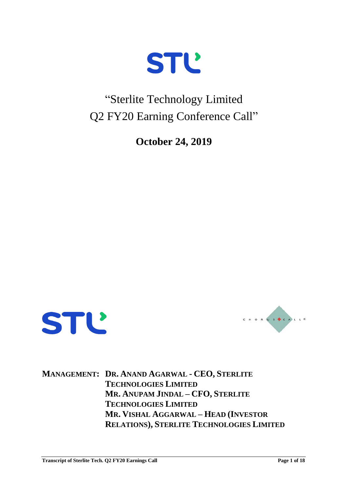

### "Sterlite Technology Limited Q2 FY20 Earning Conference Call"

**October 24, 2019**





**MANAGEMENT: DR. ANAND AGARWAL - CEO, STERLITE TECHNOLOGIES LIMITED MR. ANUPAM JINDAL – CFO, STERLITE TECHNOLOGIES LIMITED MR. VISHAL AGGARWAL – HEAD (INVESTOR RELATIONS), STERLITE TECHNOLOGIES LIMITED**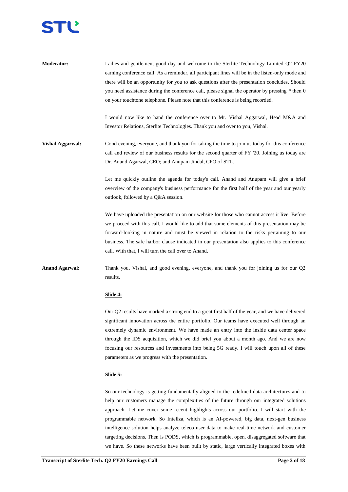

**Moderator:** Ladies and gentlemen, good day and welcome to the Sterlite Technology Limited Q2 FY20 earning conference call. As a reminder, all participant lines will be in the listen-only mode and there will be an opportunity for you to ask questions after the presentation concludes. Should you need assistance during the conference call, please signal the operator by pressing \* then 0 on your touchtone telephone. Please note that this conference is being recorded.

> I would now like to hand the conference over to Mr. Vishal Aggarwal, Head M&A and Investor Relations, Sterlite Technologies. Thank you and over to you, Vishal.

**Vishal Aggarwal:** Good evening, everyone, and thank you for taking the time to join us today for this conference call and review of our business results for the second quarter of FY '20. Joining us today are Dr. Anand Agarwal, CEO; and Anupam Jindal, CFO of STL.

> Let me quickly outline the agenda for today's call. Anand and Anupam will give a brief overview of the company's business performance for the first half of the year and our yearly outlook, followed by a Q&A session.

> We have uploaded the presentation on our website for those who cannot access it live. Before we proceed with this call, I would like to add that some elements of this presentation may be forward-looking in nature and must be viewed in relation to the risks pertaining to our business. The safe harbor clause indicated in our presentation also applies to this conference call. With that, I will turn the call over to Anand.

**Anand Agarwal:** Thank you, Vishal, and good evening, everyone, and thank you for joining us for our Q2 results.

#### **Slide 4:**

Our Q2 results have marked a strong end to a great first half of the year, and we have delivered significant innovation across the entire portfolio. Our teams have executed well through an extremely dynamic environment. We have made an entry into the inside data center space through the IDS acquisition, which we did brief you about a month ago. And we are now focusing our resources and investments into being 5G ready. I will touch upon all of these parameters as we progress with the presentation.

#### **Slide 5:**

So our technology is getting fundamentally aligned to the redefined data architectures and to help our customers manage the complexities of the future through our integrated solutions approach. Let me cover some recent highlights across our portfolio. I will start with the programmable network. So Intellza, which is an AI-powered, big data, next-gen business intelligence solution helps analyze teleco user data to make real-time network and customer targeting decisions. Then is PODS, which is programmable, open, disaggregated software that we have. So these networks have been built by static, large vertically integrated boxes with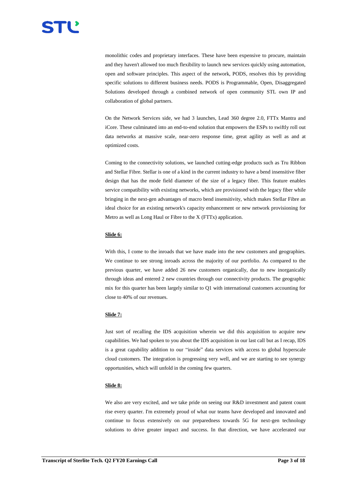

monolithic codes and proprietary interfaces. These have been expensive to procure, maintain and they haven't allowed too much flexibility to launch new services quickly using automation, open and software principles. This aspect of the network, PODS, resolves this by providing specific solutions to different business needs. PODS is Programmable, Open, Disaggregated Solutions developed through a combined network of open community STL own IP and collaboration of global partners.

On the Network Services side, we had 3 launches, Lead 360 degree 2.0, FTTx Mantra and iCore. These culminated into an end-to-end solution that empowers the ESPs to swiftly roll out data networks at massive scale, near-zero response time, great agility as well as and at optimized costs.

Coming to the connectivity solutions, we launched cutting-edge products such as Tru Ribbon and Stellar Fibre. Stellar is one of a kind in the current industry to have a bend insensitive fiber design that has the mode field diameter of the size of a legacy fiber. This feature enables service compatibility with existing networks, which are provisioned with the legacy fiber while bringing in the next-gen advantages of macro bend insensitivity, which makes Stellar Fibre an ideal choice for an existing network's capacity enhancement or new network provisioning for Metro as well as Long Haul or Fibre to the X (FTTx) application.

#### **Slide 6:**

With this, I come to the inroads that we have made into the new customers and geographies. We continue to see strong inroads across the majority of our portfolio. As compared to the previous quarter, we have added 26 new customers organically, due to new inorganically through ideas and entered 2 new countries through our connectivity products. The geographic mix for this quarter has been largely similar to Q1 with international customers accounting for close to 40% of our revenues.

#### **Slide 7:**

Just sort of recalling the IDS acquisition wherein we did this acquisition to acquire new capabilities. We had spoken to you about the IDS acquisition in our last call but as I recap, IDS is a great capability addition to our "inside" data services with access to global hyperscale cloud customers. The integration is progressing very well, and we are starting to see synergy opportunities, which will unfold in the coming few quarters.

#### **Slide 8:**

We also are very excited, and we take pride on seeing our R&D investment and patent count rise every quarter. I'm extremely proud of what our teams have developed and innovated and continue to focus extensively on our preparedness towards 5G for next-gen technology solutions to drive greater impact and success. In that direction, we have accelerated our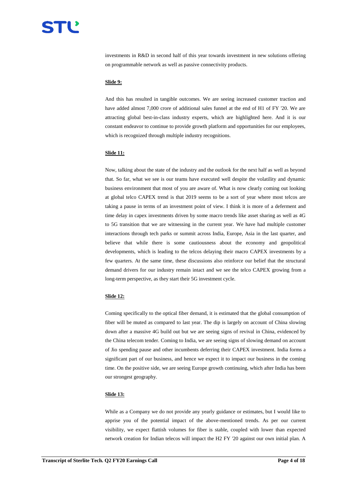investments in R&D in second half of this year towards investment in new solutions offering on programmable network as well as passive connectivity products.

#### **Slide 9:**

And this has resulted in tangible outcomes. We are seeing increased customer traction and have added almost 7,000 crore of additional sales funnel at the end of H1 of FY '20. We are attracting global best-in-class industry experts, which are highlighted here. And it is our constant endeavor to continue to provide growth platform and opportunities for our employees, which is recognized through multiple industry recognitions.

#### **Slide 11:**

Now, talking about the state of the industry and the outlook for the next half as well as beyond that. So far, what we see is our teams have executed well despite the volatility and dynamic business environment that most of you are aware of. What is now clearly coming out looking at global telco CAPEX trend is that 2019 seems to be a sort of year where most telcos are taking a pause in terms of an investment point of view. I think it is more of a deferment and time delay in capex investments driven by some macro trends like asset sharing as well as 4G to 5G transition that we are witnessing in the current year. We have had multiple customer interactions through tech parks or summit across India, Europe, Asia in the last quarter, and believe that while there is some cautiousness about the economy and geopolitical developments, which is leading to the telcos delaying their macro CAPEX investments by a few quarters. At the same time, these discussions also reinforce our belief that the structural demand drivers for our industry remain intact and we see the telco CAPEX growing from a long-term perspective, as they start their 5G investment cycle.

#### **Slide 12:**

Coming specifically to the optical fiber demand, it is estimated that the global consumption of fiber will be muted as compared to last year. The dip is largely on account of China slowing down after a massive 4G build out but we are seeing signs of revival in China, evidenced by the China telecom tender. Coming to India, we are seeing signs of slowing demand on account of Jio spending pause and other incumbents deferring their CAPEX investment. India forms a significant part of our business, and hence we expect it to impact our business in the coming time. On the positive side, we are seeing Europe growth continuing, which after India has been our strongest geography.

#### **Slide 13:**

While as a Company we do not provide any yearly guidance or estimates, but I would like to apprise you of the potential impact of the above-mentioned trends. As per our current visibility, we expect flattish volumes for fiber is stable, coupled with lower than expected network creation for Indian telecos will impact the H2 FY '20 against our own initial plan. A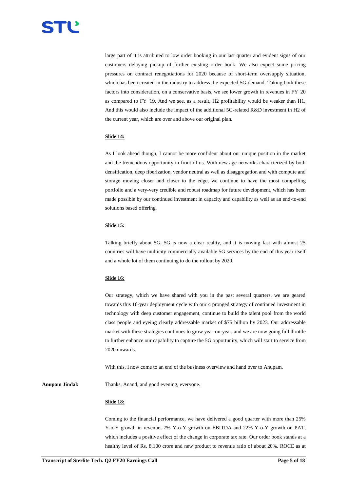large part of it is attributed to low order booking in our last quarter and evident signs of our customers delaying pickup of further existing order book. We also expect some pricing pressures on contract renegotiations for 2020 because of short-term oversupply situation, which has been created in the industry to address the expected 5G demand. Taking both these factors into consideration, on a conservative basis, we see lower growth in revenues in FY '20 as compared to FY '19. And we see, as a result, H2 profitability would be weaker than H1. And this would also include the impact of the additional 5G-related R&D investment in H2 of the current year, which are over and above our original plan.

#### **Slide 14:**

As I look ahead though, I cannot be more confident about our unique position in the market and the tremendous opportunity in front of us. With new age networks characterized by both densification, deep fiberization, vendor neutral as well as disaggregation and with compute and storage moving closer and closer to the edge, we continue to have the most compelling portfolio and a very-very credible and robust roadmap for future development, which has been made possible by our continued investment in capacity and capability as well as an end-to-end solutions based offering.

### **Slide 15:**

Talking briefly about 5G, 5G is now a clear reality, and it is moving fast with almost 25 countries will have multicity commercially available 5G services by the end of this year itself and a whole lot of them continuing to do the rollout by 2020.

#### **Slide 16:**

Our strategy, which we have shared with you in the past several quarters, we are geared towards this 10-year deployment cycle with our 4 pronged strategy of continued investment in technology with deep customer engagement, continue to build the talent pool from the world class people and eyeing clearly addressable market of \$75 billion by 2023. Our addressable market with these strategies continues to grow year-on-year, and we are now going full throttle to further enhance our capability to capture the 5G opportunity, which will start to service from 2020 onwards.

With this, I now come to an end of the business overview and hand over to Anupam.

Anupam Jindal: Thanks, Anand, and good evening, everyone.

#### **Slide 18:**

Coming to the financial performance, we have delivered a good quarter with more than 25% Y-o-Y growth in revenue, 7% Y-o-Y growth on EBITDA and 22% Y-o-Y growth on PAT, which includes a positive effect of the change in corporate tax rate. Our order book stands at a healthy level of Rs. 8,100 crore and new product to revenue ratio of about 20%. ROCE as at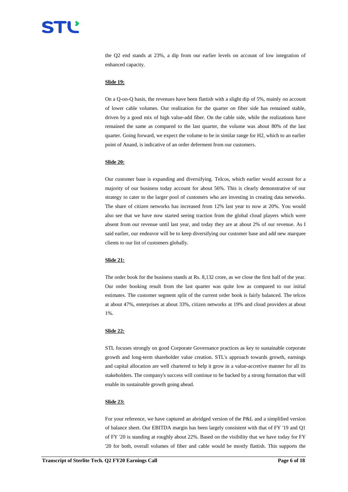## TĽ

the Q2 end stands at 23%, a dip from our earlier levels on account of low integration of enhanced capacity.

#### **Slide 19:**

On a Q-on-Q basis, the revenues have been flattish with a slight dip of 5%, mainly on account of lower cable volumes. Our realization for the quarter on fiber side has remained stable, driven by a good mix of high value-add fiber. On the cable side, while the realizations have remained the same as compared to the last quarter, the volume was about 80% of the last quarter. Going forward, we expect the volume to be in similar range for H2, which to an earlier point of Anand, is indicative of an order deferment from our customers.

#### **Slide 20:**

Our customer base is expanding and diversifying. Telcos, which earlier would account for a majority of our business today account for about 56%. This is clearly demonstrative of our strategy to cater to the larger pool of customers who are investing in creating data networks. The share of citizen networks has increased from 12% last year to now at 20%. You would also see that we have now started seeing traction from the global cloud players which were absent from our revenue until last year, and today they are at about 2% of our revenue. As I said earlier, our endeavor will be to keep diversifying our customer base and add new marquee clients to our list of customers globally.

#### **Slide 21:**

The order book for the business stands at Rs. 8,132 crore, as we close the first half of the year. Our order booking result from the last quarter was quite low as compared to our initial estimates. The customer segment split of the current order book is fairly balanced. The telcos at about 47%, enterprises at about 33%, citizen networks at 19% and cloud providers at about 1%.

#### **Slide 22:**

STL focuses strongly on good Corporate Governance practices as key to sustainable corporate growth and long-term shareholder value creation. STL's approach towards growth, earnings and capital allocation are well chartered to help it grow in a value-accretive manner for all its stakeholders. The company's success will continue to be backed by a strong formation that will enable its sustainable growth going ahead.

#### **Slide 23:**

For your reference, we have captured an abridged version of the P&L and a simplified version of balance sheet. Our EBITDA margin has been largely consistent with that of FY '19 and Q1 of FY '20 is standing at roughly about 22%. Based on the visibility that we have today for FY '20 for both, overall volumes of fiber and cable would be mostly flattish. This supports the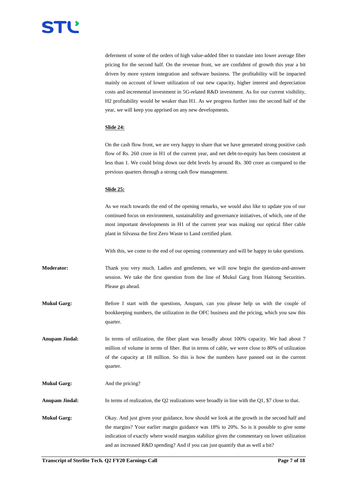

deferment of some of the orders of high value-added fiber to translate into lower average fiber pricing for the second half. On the revenue front, we are confident of growth this year a bit driven by more system integration and software business. The profitability will be impacted mainly on account of lower utilization of our new capacity, higher interest and depreciation costs and incremental investment in 5G-related R&D investment. As for our current visibility, H2 profitability would be weaker than H1. As we progress further into the second half of the year, we will keep you apprised on any new developments.

### **Slide 24:**

On the cash flow front, we are very happy to share that we have generated strong positive cash flow of Rs. 260 crore in H1 of the current year, and net debt-to-equity has been consistent at less than 1. We could bring down our debt levels by around Rs. 300 crore as compared to the previous quarters through a strong cash flow management.

#### **Slide 25:**

As we reach towards the end of the opening remarks, we would also like to update you of our continued focus on environment, sustainability and governance initiatives, of which, one of the most important developments in H1 of the current year was making our optical fiber cable plant in Silvassa the first Zero Waste to Land certified plant.

With this, we come to the end of our opening commentary and will be happy to take questions.

**Moderator:** Thank you very much. Ladies and gentlemen, we will now begin the question-and-answer session. We take the first question from the line of Mukul Garg from Haitong Securities. Please go ahead.

**Mukul Garg:** Before I start with the questions, Anupam, can you please help us with the couple of bookkeeping numbers, the utilization in the OFC business and the pricing, which you saw this quarter.

**Anupam Jindal:** In terms of utilization, the fiber plant was broadly about 100% capacity. We had about 7 million of volume in terms of fiber. But in terms of cable, we were close to 80% of utilization of the capacity at 18 million. So this is how the numbers have panned out in the current quarter.

**Mukul Garg:** And the pricing?

**Anupam Jindal:** In terms of realization, the Q2 realizations were broadly in line with the Q1, \$7 close to that.

**Mukul Garg:** Okay. And just given your guidance, how should we look at the growth in the second half and the margins? Your earlier margin guidance was 18% to 20%. So is it possible to give some indication of exactly where would margins stabilize given the commentary on lower utilization and an increased R&D spending? And if you can just quantify that as well a bit?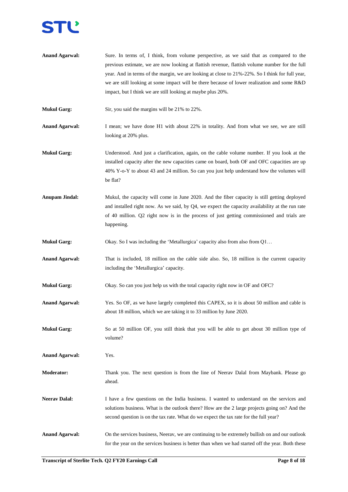

- **Anand Agarwal:** Sure. In terms of, I think, from volume perspective, as we said that as compared to the previous estimate, we are now looking at flattish revenue, flattish volume number for the full year. And in terms of the margin, we are looking at close to 21%-22%. So I think for full year, we are still looking at some impact will be there because of lower realization and some R&D impact, but I think we are still looking at maybe plus 20%.
- **Mukul Garg:** Sir, you said the margins will be 21% to 22%.
- **Anand Agarwal:** I mean; we have done H1 with about 22% in totality. And from what we see, we are still looking at 20% plus.
- **Mukul Garg:** Understood. And just a clarification, again, on the cable volume number. If you look at the installed capacity after the new capacities came on board, both OF and OFC capacities are up 40% Y-o-Y to about 43 and 24 million. So can you just help understand how the volumes will be flat?
- **Anupam Jindal:** Mukul, the capacity will come in June 2020. And the fiber capacity is still getting deployed and installed right now. As we said, by Q4, we expect the capacity availability at the run rate of 40 million. Q2 right now is in the process of just getting commissioned and trials are happening.
- **Mukul Garg:** Okay. So I was including the 'Metallurgica' capacity also from also from Q1...
- **Anand Agarwal:** That is included, 18 million on the cable side also. So, 18 million is the current capacity including the 'Metallurgica' capacity.
- **Mukul Garg:** Okay. So can you just help us with the total capacity right now in OF and OFC?
- Anand Agarwal: Yes. So OF, as we have largely completed this CAPEX, so it is about 50 million and cable is about 18 million, which we are taking it to 33 million by June 2020.
- **Mukul Garg:** So at 50 million OF, you still think that you will be able to get about 30 million type of volume?

**Anand Agarwal:** Yes.

- **Moderator:** Thank you. The next question is from the line of Neerav Dalal from Maybank. Please go ahead.
- Neerav Dalal: I have a few questions on the India business. I wanted to understand on the services and solutions business. What is the outlook there? How are the 2 large projects going on? And the second question is on the tax rate. What do we expect the tax rate for the full year?
- **Anand Agarwal:** On the services business, Neerav, we are continuing to be extremely bullish on and our outlook for the year on the services business is better than when we had started off the year. Both these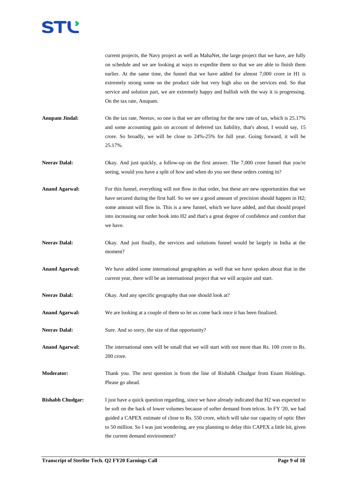

current projects, the Navy project as well as MahaNet, the large project that we have, are fully on schedule and we are looking at ways to expedite them so that we are able to finish them earlier. At the same time, the funnel that we have added for almost 7,000 crore in H1 is extremely strong some on the product side but very high also on the services end. So that service and solution part, we are extremely happy and bullish with the way it is progressing. On the tax rate, Anupam.

- **Anupam Jindal:** On the tax rate, Neerav, so one is that we are offering for the new rate of tax, which is 25.17% and some accounting gain on account of deferred tax liability, that's about, I would say, 15 crore. So broadly, we will be close to 24%-25% for full year. Going forward, it will be 25.17%.
- Neerav Dalal: Okay. And just quickly, a follow-up on the first answer. The 7,000 crore funnel that you're seeing, would you have a split of how and when do you see these orders coming in?
- Anand Agarwal: For this funnel, everything will not flow in that order, but these are new opportunities that we have secured during the first half. So we see a good amount of precision should happen in H2; some amount will flow in. This is a new funnel, which we have added, and that should propel into increasing our order book into H2 and that's a great degree of confidence and comfort that we have.
- **Neerav Dalal:** Okay. And just finally, the services and solutions funnel would be largely in India at the moment?
- **Anand Agarwal:** We have added some international geographies as well that we have spoken about that in the current year, there will be an international project that we will acquire and start.
- **Neerav Dalal:** Okay. And any specific geography that one should look at?
- **Anand Agarwal:** We are looking at a couple of them so let us come back once it has been finalized.
- Neerav Dalal: Sure. And so sorry, the size of that opportunity?
- Anand Agarwal: The international ones will be small that we will start with not more than Rs. 100 crore to Rs. 200 crore.
- **Moderator:** Thank you. The next question is from the line of Rishabh Chudgar from Enam Holdings. Please go ahead.
- **Rishabh Chudgar:** I just have a quick question regarding, since we have already indicated that H2 was expected to be soft on the back of lower volumes because of softer demand from telcos. In FY '20, we had guided a CAPEX estimate of close to Rs. 550 crore, which will take our capacity of optic fiber to 50 million. So I was just wondering, are you planning to delay this CAPEX a little bit, given the current demand environment?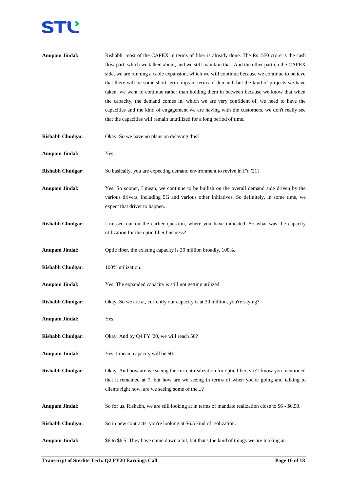## **STĽ**

| <b>Anupam Jindal:</b>   | Rishabh, most of the CAPEX in terms of fiber is already done. The Rs. 550 crore is the cash<br>flow part, which we talked about, and we still maintain that. And the other part on the CAPEX<br>side, we are running a cable expansion, which we will continue because we continue to believe<br>that there will be some short-term blips in terms of demand, but the kind of projects we have<br>taken, we want to continue rather than holding them in between because we know that when<br>the capacity, the demand comes in, which we are very confident of, we need to have the<br>capacities and the kind of engagement we are having with the customers, we don't really see<br>that the capacities will remain unutilized for a long period of time. |
|-------------------------|--------------------------------------------------------------------------------------------------------------------------------------------------------------------------------------------------------------------------------------------------------------------------------------------------------------------------------------------------------------------------------------------------------------------------------------------------------------------------------------------------------------------------------------------------------------------------------------------------------------------------------------------------------------------------------------------------------------------------------------------------------------|
| <b>Rishabh Chudgar:</b> | Okay. So we have no plans on delaying this?                                                                                                                                                                                                                                                                                                                                                                                                                                                                                                                                                                                                                                                                                                                  |
| <b>Anupam Jindal:</b>   | Yes.                                                                                                                                                                                                                                                                                                                                                                                                                                                                                                                                                                                                                                                                                                                                                         |
| <b>Rishabh Chudgar:</b> | So basically, you are expecting demand environment to revive in FY '21?                                                                                                                                                                                                                                                                                                                                                                                                                                                                                                                                                                                                                                                                                      |
| <b>Anupam Jindal:</b>   | Yes. So sooner, I mean, we continue to be bullish on the overall demand side driven by the<br>various drivers, including 5G and various other initiatives. So definitely, in some time, we<br>expect that driver to happen.                                                                                                                                                                                                                                                                                                                                                                                                                                                                                                                                  |
| <b>Rishabh Chudgar:</b> | I missed out on the earlier question, where you have indicated. So what was the capacity<br>utilization for the optic fiber business?                                                                                                                                                                                                                                                                                                                                                                                                                                                                                                                                                                                                                        |
| <b>Anupam Jindal:</b>   | Optic fiber, the existing capacity is 30 million broadly, 100%.                                                                                                                                                                                                                                                                                                                                                                                                                                                                                                                                                                                                                                                                                              |
| <b>Rishabh Chudgar:</b> | 100% utilization.                                                                                                                                                                                                                                                                                                                                                                                                                                                                                                                                                                                                                                                                                                                                            |
| <b>Anupam Jindal:</b>   | Yes. The expanded capacity is still not getting utilized.                                                                                                                                                                                                                                                                                                                                                                                                                                                                                                                                                                                                                                                                                                    |
| <b>Rishabh Chudgar:</b> | Okay. So we are at, currently our capacity is at 30 million, you're saying?                                                                                                                                                                                                                                                                                                                                                                                                                                                                                                                                                                                                                                                                                  |
| <b>Anupam Jindal:</b>   | Yes.                                                                                                                                                                                                                                                                                                                                                                                                                                                                                                                                                                                                                                                                                                                                                         |
| <b>Rishabh Chudgar:</b> | Okay. And by Q4 FY '20, we will reach 50?                                                                                                                                                                                                                                                                                                                                                                                                                                                                                                                                                                                                                                                                                                                    |
| <b>Anupam Jindal:</b>   | Yes. I mean, capacity will be 50.                                                                                                                                                                                                                                                                                                                                                                                                                                                                                                                                                                                                                                                                                                                            |
| <b>Rishabh Chudgar:</b> | Okay. And how are we seeing the current realization for optic fiber, sir? I know you mentioned<br>that it remained at 7, but how are we seeing in terms of when you're going and talking to<br>clients right now, are we seeing some of the?                                                                                                                                                                                                                                                                                                                                                                                                                                                                                                                 |
| <b>Anupam Jindal:</b>   | So for us, Rishabh, we are still looking at in terms of mandate realization close to \$6 - \$6.50.                                                                                                                                                                                                                                                                                                                                                                                                                                                                                                                                                                                                                                                           |
| <b>Rishabh Chudgar:</b> | So in new contracts, you're looking at \$6.5 kind of realization.                                                                                                                                                                                                                                                                                                                                                                                                                                                                                                                                                                                                                                                                                            |
| <b>Anupam Jindal:</b>   | \$6 to \$6.5. They have come down a bit, but that's the kind of things we are looking at.                                                                                                                                                                                                                                                                                                                                                                                                                                                                                                                                                                                                                                                                    |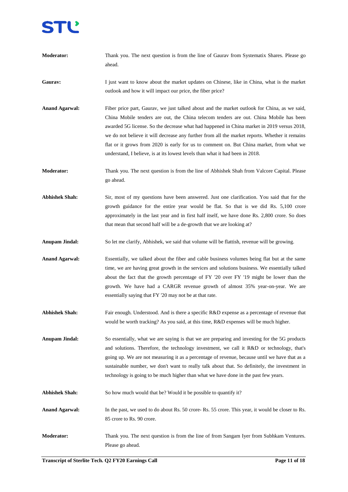**Moderator:** Thank you. The next question is from the line of Gaurav from Systematix Shares. Please go ahead. Gaurav: I just want to know about the market updates on Chinese, like in China, what is the market outlook and how it will impact our price, the fiber price? **Anand Agarwal:** Fiber price part, Gaurav, we just talked about and the market outlook for China, as we said, China Mobile tenders are out, the China telecom tenders are out. China Mobile has been awarded 5G license. So the decrease what had happened in China market in 2019 versus 2018, we do not believe it will decrease any further from all the market reports. Whether it remains flat or it grows from 2020 is early for us to comment on. But China market, from what we understand, I believe, is at its lowest levels than what it had been in 2018. **Moderator:** Thank you. The next question is from the line of Abhishek Shah from Valcore Capital. Please go ahead. **Abhishek Shah:** Sir, most of my questions have been answered. Just one clarification. You said that for the growth guidance for the entire year would be flat. So that is we did Rs. 5,100 crore approximately in the last year and in first half itself, we have done Rs. 2,800 crore. So does that mean that second half will be a de-growth that we are looking at? **Anupam Jindal:** So let me clarify, Abhishek, we said that volume will be flattish, revenue will be growing. **Anand Agarwal:** Essentially, we talked about the fiber and cable business volumes being flat but at the same time, we are having great growth in the services and solutions business. We essentially talked about the fact that the growth percentage of FY '20 over FY '19 might be lower than the growth. We have had a CARGR revenue growth of almost 35% year-on-year. We are essentially saying that FY '20 may not be at that rate. **Abhishek Shah:** Fair enough. Understood. And is there a specific R&D expense as a percentage of revenue that would be worth tracking? As you said, at this time, R&D expenses will be much higher. **Anupam Jindal:** So essentially, what we are saying is that we are preparing and investing for the 5G products and solutions. Therefore, the technology investment, we call it R&D or technology, that's going up. We are not measuring it as a percentage of revenue, because until we have that as a sustainable number, we don't want to really talk about that. So definitely, the investment in technology is going to be much higher than what we have done in the past few years. Abhishek Shah: So how much would that be? Would it be possible to quantify it? **Anand Agarwal:** In the past, we used to do about Rs. 50 crore- Rs. 55 crore. This year, it would be closer to Rs. 85 crore to Rs. 90 crore. **Moderator:** Thank you. The next question is from the line of from Sangam Iyer from Subhkam Ventures. Please go ahead.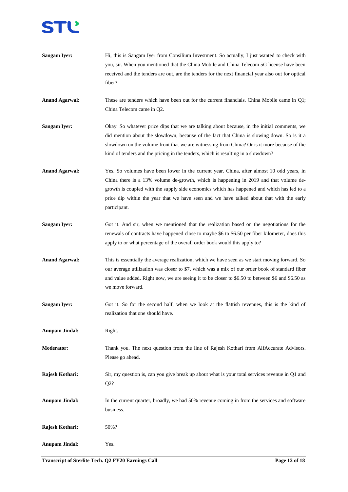

| <b>Sangam Iyer:</b>   | Hi, this is Sangam Iyer from Consilium Investment. So actually, I just wanted to check with<br>you, sir. When you mentioned that the China Mobile and China Telecom 5G license have been<br>received and the tenders are out, are the tenders for the next financial year also out for optical<br>fiber?                                                                                     |
|-----------------------|----------------------------------------------------------------------------------------------------------------------------------------------------------------------------------------------------------------------------------------------------------------------------------------------------------------------------------------------------------------------------------------------|
| <b>Anand Agarwal:</b> | These are tenders which have been out for the current financials. China Mobile came in Q1;<br>China Telecom came in Q2.                                                                                                                                                                                                                                                                      |
| <b>Sangam Iyer:</b>   | Okay. So whatever price dips that we are talking about because, in the initial comments, we<br>did mention about the slowdown, because of the fact that China is slowing down. So is it a<br>slowdown on the volume front that we are witnessing from China? Or is it more because of the<br>kind of tenders and the pricing in the tenders, which is resulting in a slowdown?               |
| <b>Anand Agarwal:</b> | Yes. So volumes have been lower in the current year. China, after almost 10 odd years, in<br>China there is a 13% volume de-growth, which is happening in 2019 and that volume de-<br>growth is coupled with the supply side economics which has happened and which has led to a<br>price dip within the year that we have seen and we have talked about that with the early<br>participant. |
| <b>Sangam Iyer:</b>   | Got it. And sir, when we mentioned that the realization based on the negotiations for the<br>renewals of contracts have happened close to maybe \$6 to \$6.50 per fiber kilometer, does this<br>apply to or what percentage of the overall order book would this apply to?                                                                                                                   |
| <b>Anand Agarwal:</b> | This is essentially the average realization, which we have seen as we start moving forward. So<br>our average utilization was closer to \$7, which was a mix of our order book of standard fiber<br>and value added. Right now, we are seeing it to be closer to \$6.50 to between \$6 and \$6.50 as<br>we move forward.                                                                     |
| <b>Sangam Iyer:</b>   | Got it. So for the second half, when we look at the flattish revenues, this is the kind of<br>realization that one should have.                                                                                                                                                                                                                                                              |
| <b>Anupam Jindal:</b> | Right.                                                                                                                                                                                                                                                                                                                                                                                       |
| <b>Moderator:</b>     | Thank you. The next question from the line of Rajesh Kothari from AlfAccurate Advisors.<br>Please go ahead.                                                                                                                                                                                                                                                                                  |
| Rajesh Kothari:       | Sir, my question is, can you give break up about what is your total services revenue in Q1 and<br>Q2?                                                                                                                                                                                                                                                                                        |
| <b>Anupam Jindal:</b> | In the current quarter, broadly, we had 50% revenue coming in from the services and software<br>business.                                                                                                                                                                                                                                                                                    |
| Rajesh Kothari:       | 50%?                                                                                                                                                                                                                                                                                                                                                                                         |
| <b>Anupam Jindal:</b> | Yes.                                                                                                                                                                                                                                                                                                                                                                                         |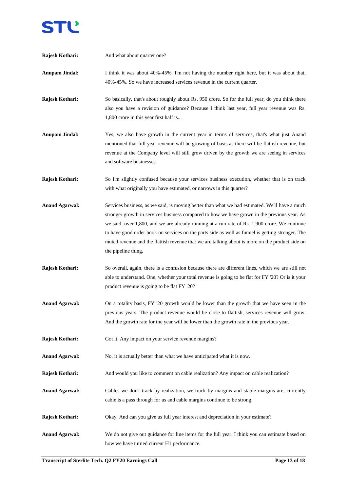

| Rajesh Kothari:       | And what about quarter one?                                                                                                                                                                                                                                                                                                                                                                                                                                                                                                 |
|-----------------------|-----------------------------------------------------------------------------------------------------------------------------------------------------------------------------------------------------------------------------------------------------------------------------------------------------------------------------------------------------------------------------------------------------------------------------------------------------------------------------------------------------------------------------|
| <b>Anupam Jindal:</b> | I think it was about 40%-45%. I'm not having the number right here, but it was about that,<br>40%-45%. So we have increased services revenue in the current quarter.                                                                                                                                                                                                                                                                                                                                                        |
| Rajesh Kothari:       | So basically, that's about roughly about Rs. 950 crore. So for the full year, do you think there<br>also you have a revision of guidance? Because I think last year, full year revenue was Rs.<br>1,800 crore in this year first half is                                                                                                                                                                                                                                                                                    |
| <b>Anupam Jindal:</b> | Yes, we also have growth in the current year in terms of services, that's what just Anand<br>mentioned that full year revenue will be growing of basis as there will be flattish revenue, but<br>revenue at the Company level will still grow driven by the growth we are seeing in services<br>and software businesses.                                                                                                                                                                                                    |
| Rajesh Kothari:       | So I'm slightly confused because your services business execution, whether that is on track<br>with what originally you have estimated, or narrows in this quarter?                                                                                                                                                                                                                                                                                                                                                         |
| <b>Anand Agarwal:</b> | Services business, as we said, is moving better than what we had estimated. We'll have a much<br>stronger growth in services business compared to how we have grown in the previous year. As<br>we said, over 1,800, and we are already running at a run rate of Rs. 1,900 crore. We continue<br>to have good order book on services on the parts side as well as funnel is getting stronger. The<br>muted revenue and the flattish revenue that we are talking about is more on the product side on<br>the pipeline thing. |
| Rajesh Kothari:       | So overall, again, there is a confusion because there are different lines, which we are still not<br>able to understand. One, whether your total revenue is going to be flat for FY '20? Or is it your<br>product revenue is going to be flat FY '20?                                                                                                                                                                                                                                                                       |
| <b>Anand Agarwal:</b> | On a totality basis, FY '20 growth would be lower than the growth that we have seen in the<br>previous years. The product revenue would be close to flattish, services revenue will grow.<br>And the growth rate for the year will be lower than the growth rate in the previous year.                                                                                                                                                                                                                                      |
| Rajesh Kothari:       | Got it. Any impact on your service revenue margins?                                                                                                                                                                                                                                                                                                                                                                                                                                                                         |
| <b>Anand Agarwal:</b> | No, it is actually better than what we have anticipated what it is now.                                                                                                                                                                                                                                                                                                                                                                                                                                                     |
| Rajesh Kothari:       | And would you like to comment on cable realization? Any impact on cable realization?                                                                                                                                                                                                                                                                                                                                                                                                                                        |
| <b>Anand Agarwal:</b> | Cables we don't track by realization, we track by margins and stable margins are, currently<br>cable is a pass through for us and cable margins continue to be strong.                                                                                                                                                                                                                                                                                                                                                      |
| Rajesh Kothari:       | Okay. And can you give us full year interest and depreciation in your estimate?                                                                                                                                                                                                                                                                                                                                                                                                                                             |
| <b>Anand Agarwal:</b> | We do not give out guidance for line items for the full year. I think you can estimate based on<br>how we have turned current H1 performance.                                                                                                                                                                                                                                                                                                                                                                               |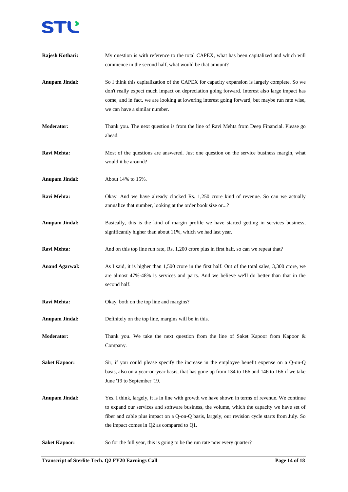

| Rajesh Kothari:       | My question is with reference to the total CAPEX, what has been capitalized and which will<br>commence in the second half, what would be that amount?                                                                                                                                                                                               |
|-----------------------|-----------------------------------------------------------------------------------------------------------------------------------------------------------------------------------------------------------------------------------------------------------------------------------------------------------------------------------------------------|
| <b>Anupam Jindal:</b> | So I think this capitalization of the CAPEX for capacity expansion is largely complete. So we<br>don't really expect much impact on depreciation going forward. Interest also large impact has<br>come, and in fact, we are looking at lowering interest going forward, but maybe run rate wise,<br>we can have a similar number.                   |
| <b>Moderator:</b>     | Thank you. The next question is from the line of Ravi Mehta from Deep Financial. Please go<br>ahead.                                                                                                                                                                                                                                                |
| Ravi Mehta:           | Most of the questions are answered. Just one question on the service business margin, what<br>would it be around?                                                                                                                                                                                                                                   |
| <b>Anupam Jindal:</b> | About 14% to 15%.                                                                                                                                                                                                                                                                                                                                   |
| Ravi Mehta:           | Okay. And we have already clocked Rs. 1,250 crore kind of revenue. So can we actually<br>annualize that number, looking at the order book size or?                                                                                                                                                                                                  |
| <b>Anupam Jindal:</b> | Basically, this is the kind of margin profile we have started getting in services business,<br>significantly higher than about 11%, which we had last year.                                                                                                                                                                                         |
| Ravi Mehta:           | And on this top line run rate, Rs. 1,200 crore plus in first half, so can we repeat that?                                                                                                                                                                                                                                                           |
| <b>Anand Agarwal:</b> | As I said, it is higher than 1,500 crore in the first half. Out of the total sales, 3,300 crore, we<br>are almost 47%-48% is services and parts. And we believe we'll do better than that in the<br>second half.                                                                                                                                    |
| Ravi Mehta:           | Okay, both on the top line and margins?                                                                                                                                                                                                                                                                                                             |
| <b>Anupam Jindal:</b> | Definitely on the top line, margins will be in this.                                                                                                                                                                                                                                                                                                |
| Moderator:            | Thank you. We take the next question from the line of Saket Kapoor from Kapoor $\&$<br>Company.                                                                                                                                                                                                                                                     |
| <b>Saket Kapoor:</b>  | Sir, if you could please specify the increase in the employee benefit expense on a Q-on-Q<br>basis, also on a year-on-year basis, that has gone up from 134 to 166 and 146 to 166 if we take<br>June '19 to September '19.                                                                                                                          |
| <b>Anupam Jindal:</b> | Yes. I think, largely, it is in line with growth we have shown in terms of revenue. We continue<br>to expand our services and software business, the volume, which the capacity we have set of<br>fiber and cable plus impact on a Q-on-Q basis, largely, our revision cycle starts from July. So<br>the impact comes in $Q2$ as compared to $Q1$ . |
| <b>Saket Kapoor:</b>  | So for the full year, this is going to be the run rate now every quarter?                                                                                                                                                                                                                                                                           |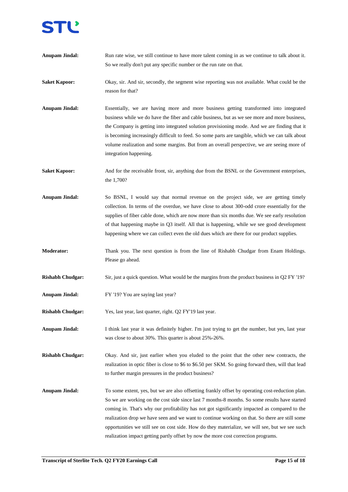

| <b>Anupam Jindal:</b>   | Run rate wise, we still continue to have more talent coming in as we continue to talk about it.<br>So we really don't put any specific number or the run rate on that.                                                                                                                                                                                                                                                                                                                                                                                                                       |
|-------------------------|----------------------------------------------------------------------------------------------------------------------------------------------------------------------------------------------------------------------------------------------------------------------------------------------------------------------------------------------------------------------------------------------------------------------------------------------------------------------------------------------------------------------------------------------------------------------------------------------|
| <b>Saket Kapoor:</b>    | Okay, sir. And sir, secondly, the segment wise reporting was not available. What could be the<br>reason for that?                                                                                                                                                                                                                                                                                                                                                                                                                                                                            |
| <b>Anupam Jindal:</b>   | Essentially, we are having more and more business getting transformed into integrated<br>business while we do have the fiber and cable business, but as we see more and more business,<br>the Company is getting into integrated solution provisioning mode. And we are finding that it<br>is becoming increasingly difficult to feed. So some parts are tangible, which we can talk about<br>volume realization and some margins. But from an overall perspective, we are seeing more of<br>integration happening.                                                                          |
| <b>Saket Kapoor:</b>    | And for the receivable front, sir, anything due from the BSNL or the Government enterprises,<br>the 1,700?                                                                                                                                                                                                                                                                                                                                                                                                                                                                                   |
| <b>Anupam Jindal:</b>   | So BSNL, I would say that normal revenue on the project side, we are getting timely<br>collection. In terms of the overdue, we have close to about 300-odd crore essentially for the<br>supplies of fiber cable done, which are now more than six months due. We see early resolution<br>of that happening maybe in Q3 itself. All that is happening, while we see good development<br>happening where we can collect even the old dues which are there for our product supplies.                                                                                                            |
| <b>Moderator:</b>       | Thank you. The next question is from the line of Rishabh Chudgar from Enam Holdings.<br>Please go ahead.                                                                                                                                                                                                                                                                                                                                                                                                                                                                                     |
| <b>Rishabh Chudgar:</b> | Sir, just a quick question. What would be the margins from the product business in $Q2 FY'19$ ?                                                                                                                                                                                                                                                                                                                                                                                                                                                                                              |
| <b>Anupam Jindal:</b>   | FY '19? You are saying last year?                                                                                                                                                                                                                                                                                                                                                                                                                                                                                                                                                            |
| <b>Rishabh Chudgar:</b> | Yes, last year, last quarter, right. Q2 FY'19 last year.                                                                                                                                                                                                                                                                                                                                                                                                                                                                                                                                     |
| <b>Anupam Jindal:</b>   | I think last year it was definitely higher. I'm just trying to get the number, but yes, last year<br>was close to about 30%. This quarter is about 25%-26%.                                                                                                                                                                                                                                                                                                                                                                                                                                  |
| <b>Rishabh Chudgar:</b> | Okay. And sir, just earlier when you eluded to the point that the other new contracts, the<br>realization in optic fiber is close to \$6 to \$6.50 per SKM. So going forward then, will that lead<br>to further margin pressures in the product business?                                                                                                                                                                                                                                                                                                                                    |
| <b>Anupam Jindal:</b>   | To some extent, yes, but we are also offsetting frankly offset by operating cost-reduction plan.<br>So we are working on the cost side since last 7 months-8 months. So some results have started<br>coming in. That's why our profitability has not got significantly impacted as compared to the<br>realization drop we have seen and we want to continue working on that. So there are still some<br>opportunities we still see on cost side. How do they materialize, we will see, but we see such<br>realization impact getting partly offset by now the more cost correction programs. |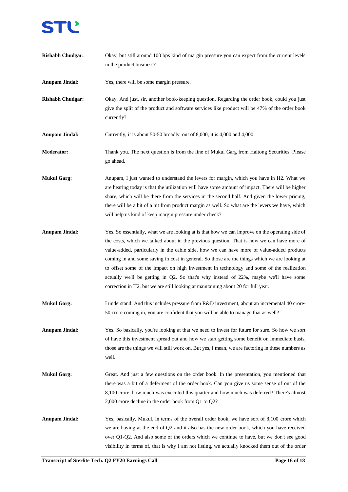

**Transcript of Sterlite Tech.** Q2 **FY20 Earnings Call Page 16 Page 16 of 18 Page 16 of 18 Anupam Jindal:** Yes, there will be some margin pressure. **Rishabh Chudgar:** Okay. And just, sir, another book-keeping question. Regarding the order book, could you just give the split of the product and software services like product will be 47% of the order book currently? **Anupam Jindal:** Currently, it is about 50-50 broadly, out of 8,000, it is 4,000 and 4,000. **Moderator:** Thank you. The next question is from the line of Mukul Garg from Haitong Securities. Please go ahead. **Mukul Garg:** Anupam, I just wanted to understand the levers for margin, which you have in H2. What we are hearing today is that the utilization will have some amount of impact. There will be higher share, which will be there from the services in the second half. And given the lower pricing, there will be a bit of a hit from product margin as well. So what are the levers we have, which will help us kind of keep margin pressure under check? **Anupam Jindal:** Yes. So essentially, what we are looking at is that how we can improve on the operating side of the costs, which we talked about in the previous question. That is how we can have more of value-added, particularly in the cable side, how we can have more of value-added products coming in and some saving in cost in general. So those are the things which we are looking at to offset some of the impact on high investment in technology and some of the realization actually we'll be getting in Q2. So that's why instead of 22%, maybe we'll have some correction in H2, but we are still looking at maintaining about 20 for full year. **Mukul Garg:** I understand. And this includes pressure from R&D investment, about an incremental 40 crore-50 crore coming in, you are confident that you will be able to manage that as well? **Anupam Jindal:** Yes. So basically, you're looking at that we need to invest for future for sure. So how we sort of have this investment spread out and how we start getting some benefit on immediate basis, those are the things we will still work on. But yes, I mean, we are factoring in these numbers as well. **Mukul Garg:** Great. And just a few questions on the order book. In the presentation, you mentioned that there was a bit of a deferment of the order book. Can you give us some sense of out of the 8,100 crore, how much was executed this quarter and how much was deferred? There's almost 2,000 crore decline in the order book from Q1 to Q2? Anupam Jindal: Yes, basically, Mukul, in terms of the overall order book, we have sort of 8,100 crore which we are having at the end of Q2 and it also has the new order book, which you have received over Q1-Q2. And also some of the orders which we continue to have, but we don't see good visibility in terms of, that is why I am not listing, we actually knocked them out of the order

**Rishabh Chudgar:** Okay, but still around 100 bps kind of margin pressure you can expect from the current levels

in the product business?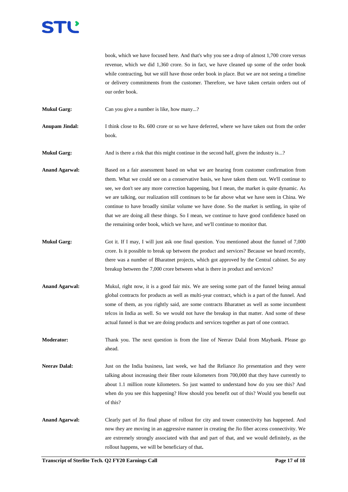# TU.

book, which we have focused here. And that's why you see a drop of almost 1,700 crore versus revenue, which we did 1,360 crore. So in fact, we have cleaned up some of the order book while contracting, but we still have those order book in place. But we are not seeing a timeline or delivery commitments from the customer. Therefore, we have taken certain orders out of our order book.

**Mukul Garg:** Can you give a number is like, how many...?

**Anupam Jindal:** I think close to Rs. 600 crore or so we have deferred, where we have taken out from the order book.

**Mukul Garg:** And is there a risk that this might continue in the second half, given the industry is...?

**Anand Agarwal:** Based on a fair assessment based on what we are hearing from customer confirmation from them. What we could see on a conservative basis, we have taken them out. We'll continue to see, we don't see any more correction happening, but I mean, the market is quite dynamic. As we are talking, our realization still continues to be far above what we have seen in China. We continue to have broadly similar volume we have done. So the market is settling, in spite of that we are doing all these things. So I mean, we continue to have good confidence based on the remaining order book, which we have, and we'll continue to monitor that.

- **Mukul Garg:** Got it. If I may, I will just ask one final question. You mentioned about the funnel of 7,000 crore. Is it possible to break up between the product and services? Because we heard recently, there was a number of Bharatnet projects, which got approved by the Central cabinet. So any breakup between the 7,000 crore between what is there in product and services?
- Anand Agarwal: Mukul, right now, it is a good fair mix. We are seeing some part of the funnel being annual global contracts for products as well as multi-year contract, which is a part of the funnel. And some of them, as you rightly said, are some contracts Bharatnet as well as some incumbent telcos in India as well. So we would not have the breakup in that matter. And some of these actual funnel is that we are doing products and services together as part of one contract.

**Moderator:** Thank you. The next question is from the line of Neerav Dalal from Maybank. Please go ahead.

**Neerav Dalal:** Just on the India business, last week, we had the Reliance Jio presentation and they were talking about increasing their fiber route kilometers from 700,000 that they have currently to about 1.1 million route kilometers. So just wanted to understand how do you see this? And when do you see this happening? How should you benefit out of this? Would you benefit out of this?

**Anand Agarwal:** Clearly part of Jio final phase of rollout for city and tower connectivity has happened. And now they are moving in an aggressive manner in creating the Jio fiber access connectivity. We are extremely strongly associated with that and part of that, and we would definitely, as the rollout happens, we will be beneficiary of that**.**